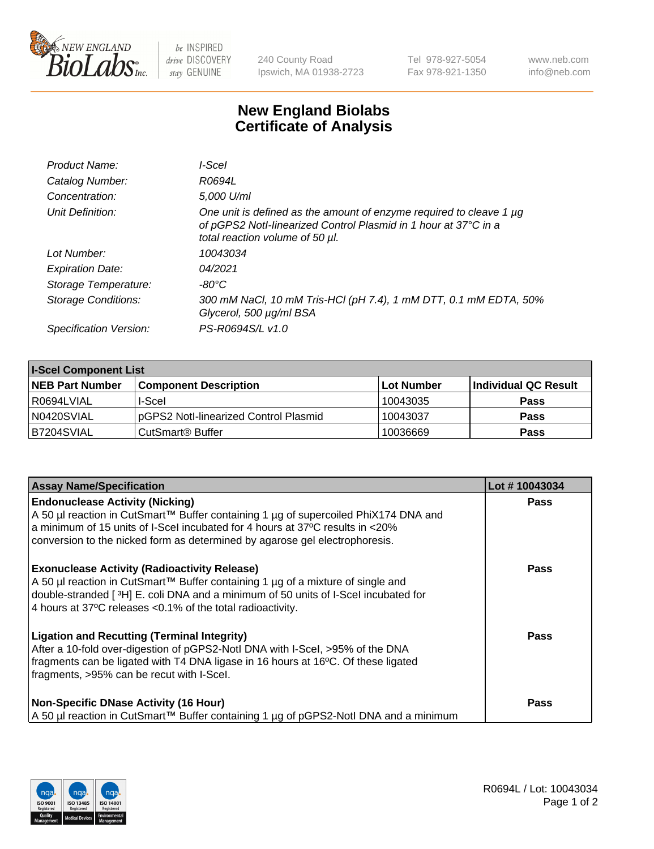

 $be$  INSPIRED drive DISCOVERY stay GENUINE

240 County Road Ipswich, MA 01938-2723 Tel 978-927-5054 Fax 978-921-1350 www.neb.com info@neb.com

## **New England Biolabs Certificate of Analysis**

| Product Name:              | l-Scel                                                                                                                                                                         |
|----------------------------|--------------------------------------------------------------------------------------------------------------------------------------------------------------------------------|
| Catalog Number:            | R0694L                                                                                                                                                                         |
| Concentration:             | 5,000 U/ml                                                                                                                                                                     |
| Unit Definition:           | One unit is defined as the amount of enzyme required to cleave 1 $\mu$ g<br>of pGPS2 Notl-linearized Control Plasmid in 1 hour at 37°C in a<br>total reaction volume of 50 µl. |
| Lot Number:                | 10043034                                                                                                                                                                       |
| <b>Expiration Date:</b>    | 04/2021                                                                                                                                                                        |
| Storage Temperature:       | -80°C                                                                                                                                                                          |
| <b>Storage Conditions:</b> | 300 mM NaCl, 10 mM Tris-HCl (pH 7.4), 1 mM DTT, 0.1 mM EDTA, 50%<br>Glycerol, 500 µg/ml BSA                                                                                    |
| Specification Version:     | PS-R0694S/L v1.0                                                                                                                                                               |

| <b>I-Scel Component List</b> |                                        |            |                      |  |
|------------------------------|----------------------------------------|------------|----------------------|--|
| <b>NEB Part Number</b>       | <b>Component Description</b>           | Lot Number | Individual QC Result |  |
| R0694LVIAL                   | I-Scel                                 | 10043035   | <b>Pass</b>          |  |
| N0420SVIAL                   | IpGPS2 Notl-linearized Control Plasmid | 10043037   | <b>Pass</b>          |  |
| B7204SVIAL                   | CutSmart <sup>®</sup> Buffer           | 10036669   | <b>Pass</b>          |  |

| <b>Assay Name/Specification</b>                                                                                                                                                                                                                                                               | Lot #10043034 |
|-----------------------------------------------------------------------------------------------------------------------------------------------------------------------------------------------------------------------------------------------------------------------------------------------|---------------|
| <b>Endonuclease Activity (Nicking)</b><br>A 50 µl reaction in CutSmart™ Buffer containing 1 µg of supercoiled PhiX174 DNA and<br>a minimum of 15 units of I-Scel incubated for 4 hours at 37°C results in <20%<br>conversion to the nicked form as determined by agarose gel electrophoresis. | <b>Pass</b>   |
| <b>Exonuclease Activity (Radioactivity Release)</b><br>A 50 µl reaction in CutSmart™ Buffer containing 1 µg of a mixture of single and<br>double-stranded [3H] E. coli DNA and a minimum of 50 units of I-Scel incubated for<br>4 hours at 37°C releases < 0.1% of the total radioactivity.   | <b>Pass</b>   |
| <b>Ligation and Recutting (Terminal Integrity)</b><br>After a 10-fold over-digestion of pGPS2-Notl DNA with I-Scel, >95% of the DNA<br>fragments can be ligated with T4 DNA ligase in 16 hours at 16°C. Of these ligated<br>fragments, >95% can be recut with I-Scel.                         | <b>Pass</b>   |
| <b>Non-Specific DNase Activity (16 Hour)</b><br>  A 50 µl reaction in CutSmart™ Buffer containing 1 µg of pGPS2-NotI DNA and a minimum                                                                                                                                                        | <b>Pass</b>   |